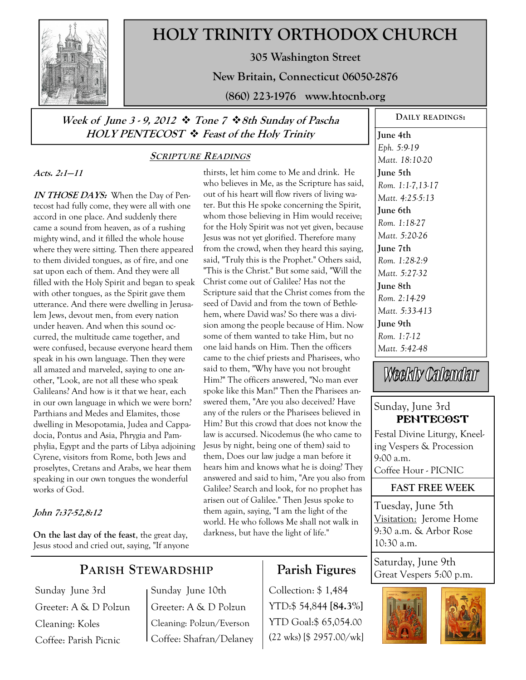

**Acts. 2:1—11** 

# **HOLY TRINITY ORTHODOX CHURCH**

**305 Washington Street** 

**New Britain, Connecticut 06050-2876** 

**(860) 223-1976 www.htocnb.org** 

# **Week of June 3 - 9, 2012 Tone 7 8th Sunday of Pascha HOLY PENTECOST Feast of the Holy Trinity**

#### **SCRIPTURE READINGS**

**IN THOSE DAYS:** When the Day of Pentecost had fully come, they were all with one accord in one place. And suddenly there came a sound from heaven, as of a rushing mighty wind, and it filled the whole house where they were sitting. Then there appeared to them divided tongues, as of fire, and one sat upon each of them. And they were all filled with the Holy Spirit and began to speak with other tongues, as the Spirit gave them utterance. And there were dwelling in Jerusalem Jews, devout men, from every nation under heaven. And when this sound occurred, the multitude came together, and were confused, because everyone heard them speak in his own language. Then they were all amazed and marveled, saying to one another, "Look, are not all these who speak Galileans? And how is it that we hear, each in our own language in which we were born? Parthians and Medes and Elamites, those dwelling in Mesopotamia, Judea and Cappadocia, Pontus and Asia, Phrygia and Pamphylia, Egypt and the parts of Libya adjoining Cyrene, visitors from Rome, both Jews and proselytes, Cretans and Arabs, we hear them speaking in our own tongues the wonderful works of God.

## **John 7:37-52,8:12**

**On the last day of the feast**, the great day, Jesus stood and cried out, saying, "If anyone

whom those believing in Him would receive; for the Holy Spirit was not yet given, because Jesus was not yet glorified. Therefore many from the crowd, when they heard this saying, said, "Truly this is the Prophet." Others said, "This is the Christ." But some said, "Will the Christ come out of Galilee? Has not the Scripture said that the Christ comes from the seed of David and from the town of Bethlehem, where David was? So there was a division among the people because of Him. Now some of them wanted to take Him, but no one laid hands on Him. Then the officers came to the chief priests and Pharisees, who said to them, "Why have you not brought Him?" The officers answered, "No man ever spoke like this Man!" Then the Pharisees answered them, "Are you also deceived? Have any of the rulers or the Pharisees believed in Him? But this crowd that does not know the law is accursed. Nicodemus (he who came to Jesus by night, being one of them) said to them, Does our law judge a man before it hears him and knows what he is doing? They answered and said to him, "Are you also from Galilee? Search and look, for no prophet has arisen out of Galilee." Then Jesus spoke to them again, saying, "I am the light of the world. He who follows Me shall not walk in darkness, but have the light of life."

thirsts, let him come to Me and drink. He who believes in Me, as the Scripture has said, out of his heart will flow rivers of living water. But this He spoke concerning the Spirit,

# **PARISH STEWARDSHIP**

Sunday June 3rd Greeter: A & D Polzun Cleaning: Koles Coffee: Parish Picnic

Sunday June 10th Greeter: A & D Polzun Cleaning: Polzun/Everson Coffee: Shafran/Delaney

# **Parish Figures**

Collection: \$ 1,484 YTD:\$ 54,844 **[84.3%]** YTD Goal:\$ 65,054.00 (22 wks) [\$ 2957.00/wk] **June 4th**  *Eph. 5:9-19 Matt. 18:10-20*  **June 5th**  *Rom. 1:1-7,13-17 Matt. 4:25-5:13*  **June 6th**  *Rom. 1:18-27 Matt. 5:20-26*  **June 7th**  *Rom. 1:28-2:9 Matt. 5:27-32*  **June 8th**  *Rom. 2:14-29 Matt. 5:33-413*  **June 9th**  *Rom. 1:7-12 Matt. 5:42-48* 

**DAILY READINGS:** 

Weekly Calendar

# Sunday, June 3rd **PENTECOST**

Festal Divine Liturgy, Kneeling Vespers & Procession 9:00 a.m.

Coffee Hour - PICNIC

#### **FAST FREE WEEK**

Tuesday, June 5th Visitation: Jerome Home 9:30 a.m. & Arbor Rose 10:30 a.m.

Saturday, June 9th Great Vespers 5:00 p.m.